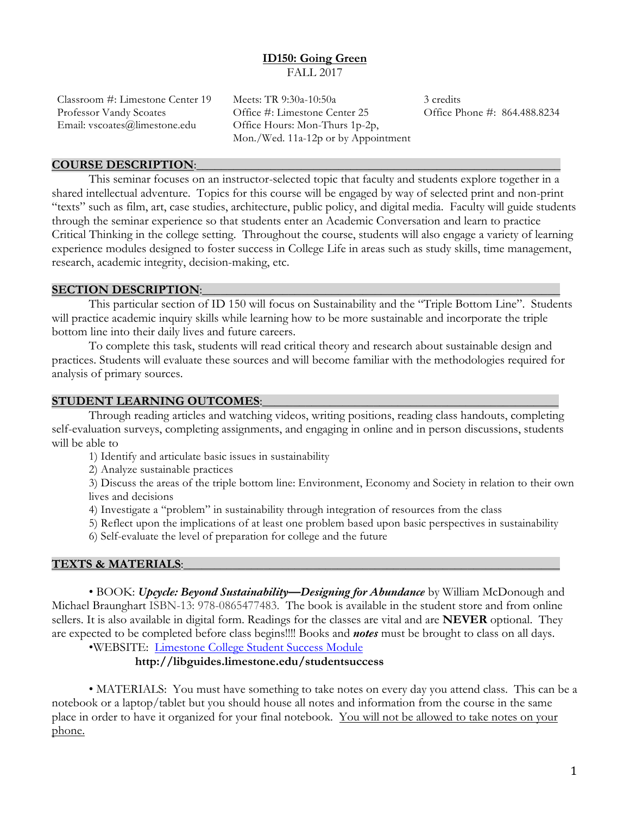# **ID150: Going Green**  FALL 2017

Email: vscoates@limestone.edu Office Hours: Mon-Thurs 1p-2p,

Classroom #: Limestone Center 19 Meets: TR 9:30a-10:50a 3 credits Professor Vandy Scoates Office #: Limestone Center 25 Office Phone #: 864.488.8234 Mon./Wed. 11a-12p or by Appointment

#### **COURSE DESCRIPTION:**

This seminar focuses on an instructor-selected topic that faculty and students explore together in a shared intellectual adventure. Topics for this course will be engaged by way of selected print and non-print "texts" such as film, art, case studies, architecture, public policy, and digital media. Faculty will guide students through the seminar experience so that students enter an Academic Conversation and learn to practice Critical Thinking in the college setting. Throughout the course, students will also engage a variety of learning experience modules designed to foster success in College Life in areas such as study skills, time management, research, academic integrity, decision-making, etc.

#### **SECTION DESCRIPTION:**

This particular section of ID 150 will focus on Sustainability and the "Triple Bottom Line". Students will practice academic inquiry skills while learning how to be more sustainable and incorporate the triple bottom line into their daily lives and future careers.

To complete this task, students will read critical theory and research about sustainable design and practices. Students will evaluate these sources and will become familiar with the methodologies required for analysis of primary sources.

#### **STUDENT LEARNING OUTCOMES:**

Through reading articles and watching videos, writing positions, reading class handouts, completing self-evaluation surveys, completing assignments, and engaging in online and in person discussions, students will be able to

1) Identify and articulate basic issues in sustainability

2) Analyze sustainable practices

3) Discuss the areas of the triple bottom line: Environment, Economy and Society in relation to their own lives and decisions

4) Investigate a "problem" in sustainability through integration of resources from the class

5) Reflect upon the implications of at least one problem based upon basic perspectives in sustainability

6) Self-evaluate the level of preparation for college and the future

#### **TEXTS & MATERIALS**:\_\_\_\_\_\_\_\_\_\_\_\_\_\_\_\_\_\_\_\_\_\_\_\_\_\_\_\_\_\_\_\_\_\_\_\_\_\_\_\_\_\_\_\_\_\_\_\_\_\_\_\_\_\_\_\_\_\_\_\_\_

• BOOK: *Upcycle: Beyond Sustainability—Designing for Abundance* by William McDonough and Michael Braunghart ISBN-13: 978-0865477483. The book is available in the student store and from online sellers. It is also available in digital form. Readings for the classes are vital and are **NEVER** optional. They are expected to be completed before class begins!!!! Books and *notes* must be brought to class on all days.

•WEBSITE: Limestone College Student Success Module

## **http://libguides.limestone.edu/studentsuccess**

• MATERIALS: You must have something to take notes on every day you attend class. This can be a notebook or a laptop/tablet but you should house all notes and information from the course in the same place in order to have it organized for your final notebook. You will not be allowed to take notes on your phone.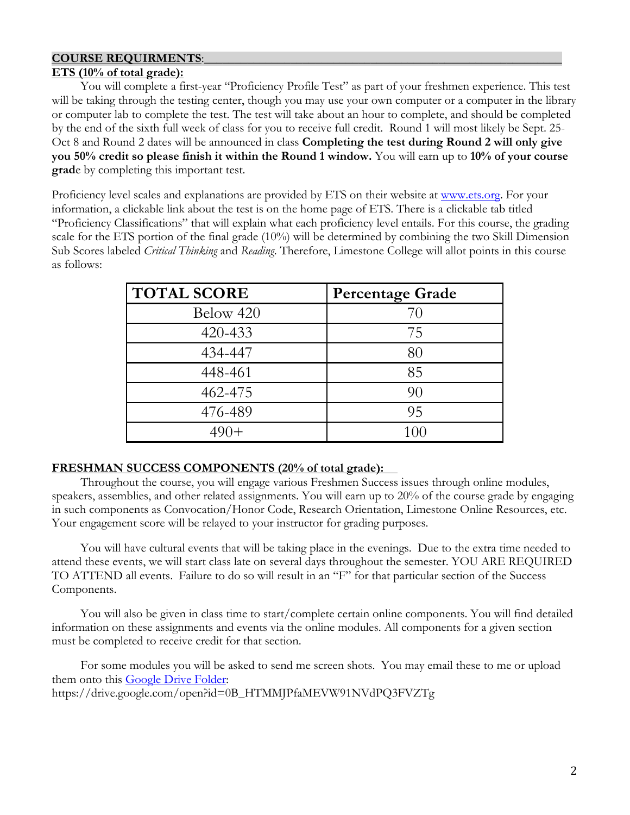# **COURSE REQUIRMENTS:**

# **ETS (10% of total grade):**

You will complete a first-year "Proficiency Profile Test" as part of your freshmen experience. This test will be taking through the testing center, though you may use your own computer or a computer in the library or computer lab to complete the test. The test will take about an hour to complete, and should be completed by the end of the sixth full week of class for you to receive full credit. Round 1 will most likely be Sept. 25- Oct 8 and Round 2 dates will be announced in class **Completing the test during Round 2 will only give you 50% credit so please finish it within the Round 1 window.** You will earn up to **10% of your course grad**e by completing this important test.

Proficiency level scales and explanations are provided by ETS on their website at www.ets.org. For your information, a clickable link about the test is on the home page of ETS. There is a clickable tab titled "Proficiency Classifications" that will explain what each proficiency level entails. For this course, the grading scale for the ETS portion of the final grade (10%) will be determined by combining the two Skill Dimension Sub Scores labeled *Critical Thinking* and *Reading*. Therefore, Limestone College will allot points in this course as follows:

| <b>TOTAL SCORE</b> | <b>Percentage Grade</b> |
|--------------------|-------------------------|
| Below 420          | 70                      |
| 420-433            | 75                      |
| 434-447            | 80                      |
| 448-461            | 85                      |
| 462-475            | 90                      |
| 476-489            | 95                      |
| $490+$             | 100                     |

# **FRESHMAN SUCCESS COMPONENTS (20% of total grade):**

Throughout the course, you will engage various Freshmen Success issues through online modules, speakers, assemblies, and other related assignments. You will earn up to 20% of the course grade by engaging in such components as Convocation/Honor Code, Research Orientation, Limestone Online Resources, etc. Your engagement score will be relayed to your instructor for grading purposes.

You will have cultural events that will be taking place in the evenings. Due to the extra time needed to attend these events, we will start class late on several days throughout the semester. YOU ARE REQUIRED TO ATTEND all events. Failure to do so will result in an "F" for that particular section of the Success Components.

You will also be given in class time to start/complete certain online components. You will find detailed information on these assignments and events via the online modules. All components for a given section must be completed to receive credit for that section.

For some modules you will be asked to send me screen shots. You may email these to me or upload them onto this Google Drive Folder:

https://drive.google.com/open?id=0B\_HTMMJPfaMEVW91NVdPQ3FVZTg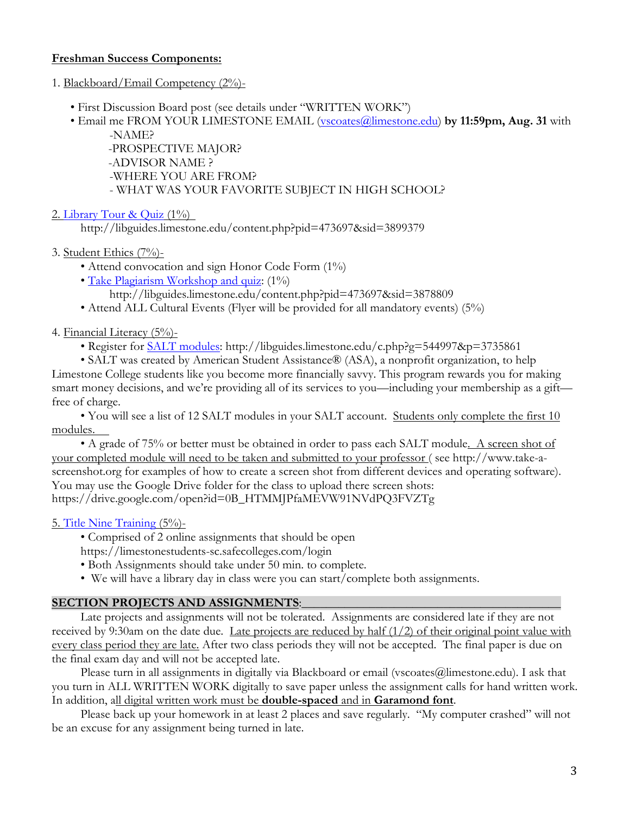# **Freshman Success Components:**

- 1. Blackboard/Email Competency (2%)-
	- First Discussion Board post (see details under "WRITTEN WORK")
	- Email me FROM YOUR LIMESTONE EMAIL (vscoates@limestone.edu) **by 11:59pm, Aug. 31** with -NAME?

 -PROSPECTIVE MAJOR? -ADVISOR NAME ? -WHERE YOU ARE FROM? - WHAT WAS YOUR FAVORITE SUBJECT IN HIGH SCHOOL?

2. Library Tour & Quiz (1%)

http://libguides.limestone.edu/content.php?pid=473697&sid=3899379

3. Student Ethics (7%)-

- Attend convocation and sign Honor Code Form (1%)
- Take Plagiarism Workshop and quiz: (1%)

http://libguides.limestone.edu/content.php?pid=473697&sid=3878809

• Attend ALL Cultural Events (Flyer will be provided for all mandatory events) (5%)

4. Financial Literacy (5%)-

• Register for **SALT** modules: http://libguides.limestone.edu/c.php?g=544997&p=3735861

• SALT was created by American Student Assistance® (ASA), a nonprofit organization, to help Limestone College students like you become more financially savvy. This program rewards you for making smart money decisions, and we're providing all of its services to you—including your membership as a gift free of charge.

• You will see a list of 12 SALT modules in your SALT account. Students only complete the first 10 modules.

• A grade of 75% or better must be obtained in order to pass each SALT module. A screen shot of your completed module will need to be taken and submitted to your professor ( see http://www.take-ascreenshot.org for examples of how to create a screen shot from different devices and operating software). You may use the Google Drive folder for the class to upload there screen shots: https://drive.google.com/open?id=0B\_HTMMJPfaMEVW91NVdPQ3FVZTg

# 5. Title Nine Training (5%)-

• Comprised of 2 online assignments that should be open

https://limestonestudents-sc.safecolleges.com/login

- Both Assignments should take under 50 min. to complete.
- We will have a library day in class were you can start/complete both assignments.

# **SECTION PROJECTS AND ASSIGNMENTS:**

Late projects and assignments will not be tolerated. Assignments are considered late if they are not received by 9:30am on the date due. Late projects are reduced by half (1/2) of their original point value with every class period they are late. After two class periods they will not be accepted. The final paper is due on the final exam day and will not be accepted late.

Please turn in all assignments in digitally via Blackboard or email (vscoates@limestone.edu). I ask that you turn in ALL WRITTEN WORK digitally to save paper unless the assignment calls for hand written work. In addition, all digital written work must be **double-spaced** and in **Garamond font**.

Please back up your homework in at least 2 places and save regularly. "My computer crashed" will not be an excuse for any assignment being turned in late.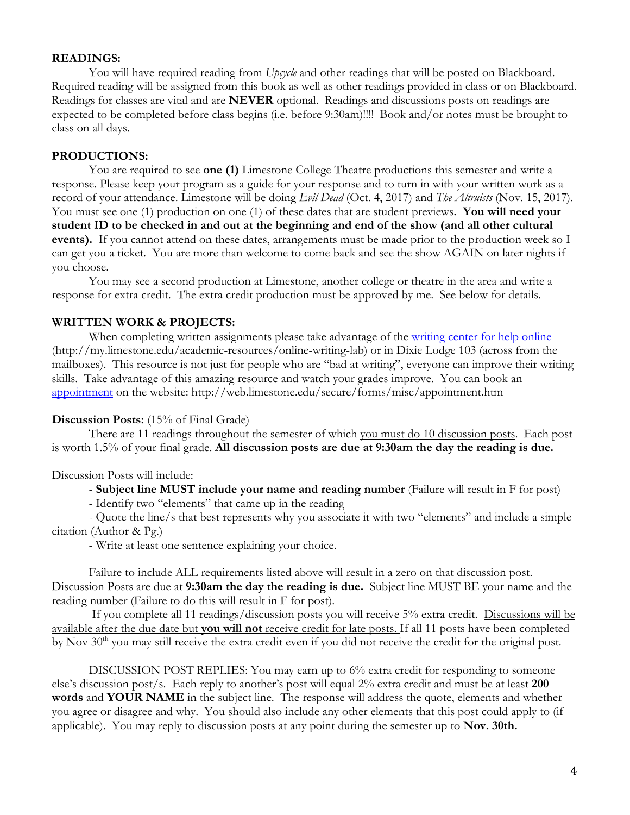## **READINGS:**

You will have required reading from *Upcycle* and other readings that will be posted on Blackboard. Required reading will be assigned from this book as well as other readings provided in class or on Blackboard. Readings for classes are vital and are **NEVER** optional. Readings and discussions posts on readings are expected to be completed before class begins (i.e. before 9:30am)!!!! Book and/or notes must be brought to class on all days.

## **PRODUCTIONS:**

You are required to see **one (1)** Limestone College Theatre productions this semester and write a response. Please keep your program as a guide for your response and to turn in with your written work as a record of your attendance. Limestone will be doing *Evil Dead* (Oct. 4, 2017) and *The Altruists* (Nov. 15, 2017). You must see one (1) production on one (1) of these dates that are student previews**. You will need your student ID to be checked in and out at the beginning and end of the show (and all other cultural events).** If you cannot attend on these dates, arrangements must be made prior to the production week so I can get you a ticket. You are more than welcome to come back and see the show AGAIN on later nights if you choose.

You may see a second production at Limestone, another college or theatre in the area and write a response for extra credit. The extra credit production must be approved by me. See below for details.

## **WRITTEN WORK & PROJECTS:**

When completing written assignments please take advantage of the writing center for help online (http://my.limestone.edu/academic-resources/online-writing-lab) or in Dixie Lodge 103 (across from the mailboxes). This resource is not just for people who are "bad at writing", everyone can improve their writing skills. Take advantage of this amazing resource and watch your grades improve. You can book an appointment on the website: http://web.limestone.edu/secure/forms/misc/appointment.htm

## **Discussion Posts:** (15% of Final Grade)

There are 11 readings throughout the semester of which you must do 10 discussion posts. Each post is worth 1.5% of your final grade. **All discussion posts are due at 9:30am the day the reading is due.** 

Discussion Posts will include:

- **Subject line MUST include your name and reading number** (Failure will result in F for post)

- Identify two "elements" that came up in the reading

- Quote the line/s that best represents why you associate it with two "elements" and include a simple citation (Author & Pg.)

- Write at least one sentence explaining your choice.

Failure to include ALL requirements listed above will result in a zero on that discussion post. Discussion Posts are due at **9:30am the day the reading is due.** Subject line MUST BE your name and the reading number (Failure to do this will result in F for post).

If you complete all 11 readings/discussion posts you will receive 5% extra credit. Discussions will be available after the due date but **you will not** receive credit for late posts. If all 11 posts have been completed by Nov  $30<sup>th</sup>$  you may still receive the extra credit even if you did not receive the credit for the original post.

DISCUSSION POST REPLIES: You may earn up to 6% extra credit for responding to someone else's discussion post/s. Each reply to another's post will equal 2% extra credit and must be at least **200 words** and **YOUR NAME** in the subject line. The response will address the quote, elements and whether you agree or disagree and why. You should also include any other elements that this post could apply to (if applicable). You may reply to discussion posts at any point during the semester up to **Nov. 30th.**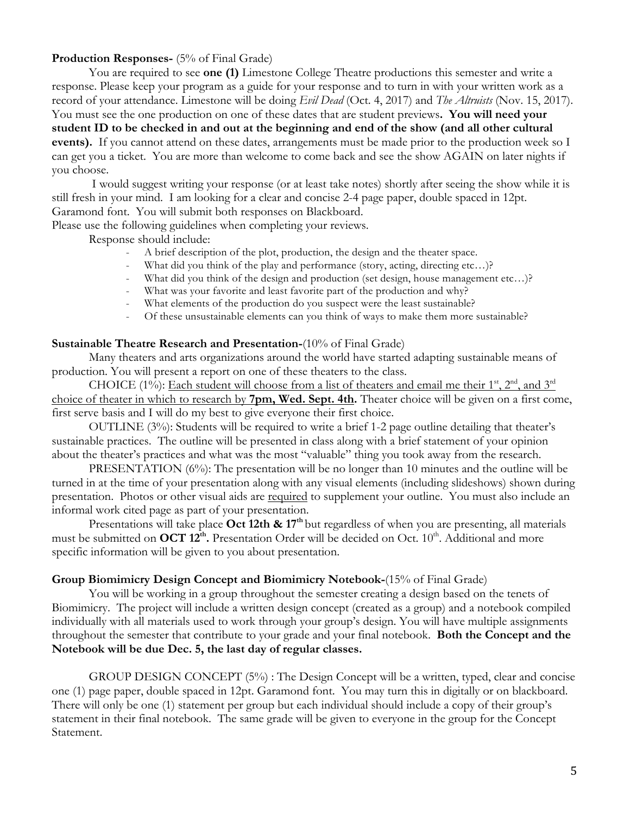# **Production Responses-** (5% of Final Grade)

You are required to see **one (1)** Limestone College Theatre productions this semester and write a response. Please keep your program as a guide for your response and to turn in with your written work as a record of your attendance. Limestone will be doing *Evil Dead* (Oct. 4, 2017) and *The Altruists* (Nov. 15, 2017). You must see the one production on one of these dates that are student previews**. You will need your student ID to be checked in and out at the beginning and end of the show (and all other cultural events).** If you cannot attend on these dates, arrangements must be made prior to the production week so I can get you a ticket. You are more than welcome to come back and see the show AGAIN on later nights if you choose.

I would suggest writing your response (or at least take notes) shortly after seeing the show while it is still fresh in your mind. I am looking for a clear and concise 2-4 page paper, double spaced in 12pt. Garamond font. You will submit both responses on Blackboard.

Please use the following guidelines when completing your reviews.

Response should include:

- A brief description of the plot, production, the design and the theater space.
- What did you think of the play and performance (story, acting, directing etc...)?
- What did you think of the design and production (set design, house management etc...)?
- What was your favorite and least favorite part of the production and why?
- What elements of the production do you suspect were the least sustainable?
- Of these unsustainable elements can you think of ways to make them more sustainable?

## **Sustainable Theatre Research and Presentation-**(10% of Final Grade)

Many theaters and arts organizations around the world have started adapting sustainable means of production. You will present a report on one of these theaters to the class.

CHOICE (1%): Each student will choose from a list of theaters and email me their  $1<sup>st</sup>$ ,  $2<sup>nd</sup>$ , and  $3<sup>rd</sup>$ choice of theater in which to research by **7pm, Wed. Sept. 4th.** Theater choice will be given on a first come, first serve basis and I will do my best to give everyone their first choice.

OUTLINE (3%): Students will be required to write a brief 1-2 page outline detailing that theater's sustainable practices. The outline will be presented in class along with a brief statement of your opinion about the theater's practices and what was the most "valuable" thing you took away from the research.

PRESENTATION (6%): The presentation will be no longer than 10 minutes and the outline will be turned in at the time of your presentation along with any visual elements (including slideshows) shown during presentation. Photos or other visual aids are required to supplement your outline. You must also include an informal work cited page as part of your presentation.

Presentations will take place **Oct 12th & 17<sup>th</sup>** but regardless of when you are presenting, all materials must be submitted on **OCT 12<sup>th</sup>**. Presentation Order will be decided on Oct. 10<sup>th</sup>. Additional and more specific information will be given to you about presentation.

## **Group Biomimicry Design Concept and Biomimicry Notebook-**(15% of Final Grade)

You will be working in a group throughout the semester creating a design based on the tenets of Biomimicry. The project will include a written design concept (created as a group) and a notebook compiled individually with all materials used to work through your group's design. You will have multiple assignments throughout the semester that contribute to your grade and your final notebook. **Both the Concept and the Notebook will be due Dec. 5, the last day of regular classes.**

GROUP DESIGN CONCEPT (5%) : The Design Concept will be a written, typed, clear and concise one (1) page paper, double spaced in 12pt. Garamond font. You may turn this in digitally or on blackboard. There will only be one (1) statement per group but each individual should include a copy of their group's statement in their final notebook. The same grade will be given to everyone in the group for the Concept Statement.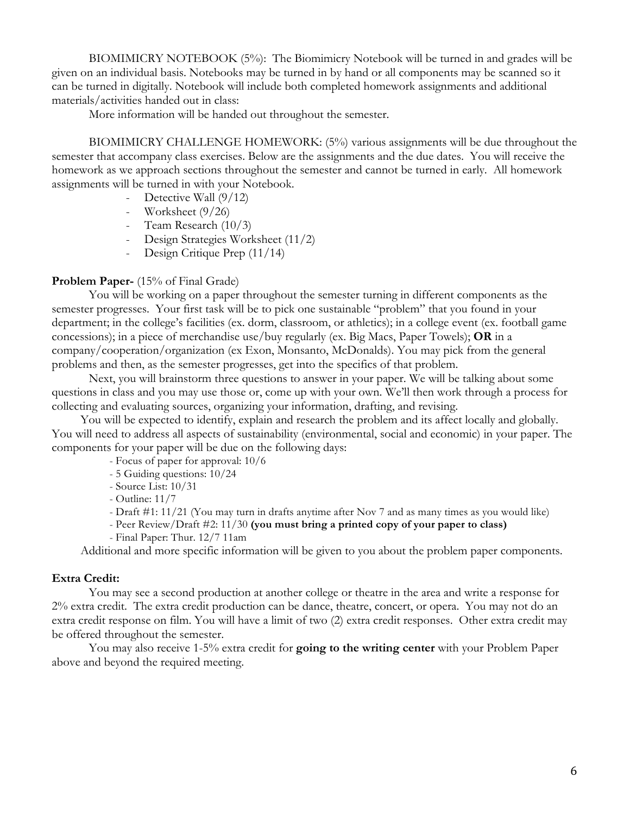BIOMIMICRY NOTEBOOK (5%): The Biomimicry Notebook will be turned in and grades will be given on an individual basis. Notebooks may be turned in by hand or all components may be scanned so it can be turned in digitally. Notebook will include both completed homework assignments and additional materials/activities handed out in class:

More information will be handed out throughout the semester.

BIOMIMICRY CHALLENGE HOMEWORK: (5%) various assignments will be due throughout the semester that accompany class exercises. Below are the assignments and the due dates. You will receive the homework as we approach sections throughout the semester and cannot be turned in early. All homework assignments will be turned in with your Notebook.

- Detective Wall  $(9/12)$
- Worksheet (9/26)
- Team Research (10/3)
- Design Strategies Worksheet (11/2)
- Design Critique Prep (11/14)

## **Problem Paper-** (15% of Final Grade)

You will be working on a paper throughout the semester turning in different components as the semester progresses. Your first task will be to pick one sustainable "problem" that you found in your department; in the college's facilities (ex. dorm, classroom, or athletics); in a college event (ex. football game concessions); in a piece of merchandise use/buy regularly (ex. Big Macs, Paper Towels); **OR** in a company/cooperation/organization (ex Exon, Monsanto, McDonalds). You may pick from the general problems and then, as the semester progresses, get into the specifics of that problem.

Next, you will brainstorm three questions to answer in your paper. We will be talking about some questions in class and you may use those or, come up with your own. We'll then work through a process for collecting and evaluating sources, organizing your information, drafting, and revising.

You will be expected to identify, explain and research the problem and its affect locally and globally. You will need to address all aspects of sustainability (environmental, social and economic) in your paper. The components for your paper will be due on the following days:

- Focus of paper for approval: 10/6
- 5 Guiding questions: 10/24
- Source List: 10/31
- Outline: 11/7
- Draft #1: 11/21 (You may turn in drafts anytime after Nov 7 and as many times as you would like)
- Peer Review/Draft #2: 11/30 **(you must bring a printed copy of your paper to class)**
- Final Paper: Thur. 12/7 11am

Additional and more specific information will be given to you about the problem paper components.

## **Extra Credit:**

You may see a second production at another college or theatre in the area and write a response for 2% extra credit. The extra credit production can be dance, theatre, concert, or opera. You may not do an extra credit response on film. You will have a limit of two (2) extra credit responses. Other extra credit may be offered throughout the semester.

You may also receive 1-5% extra credit for **going to the writing center** with your Problem Paper above and beyond the required meeting.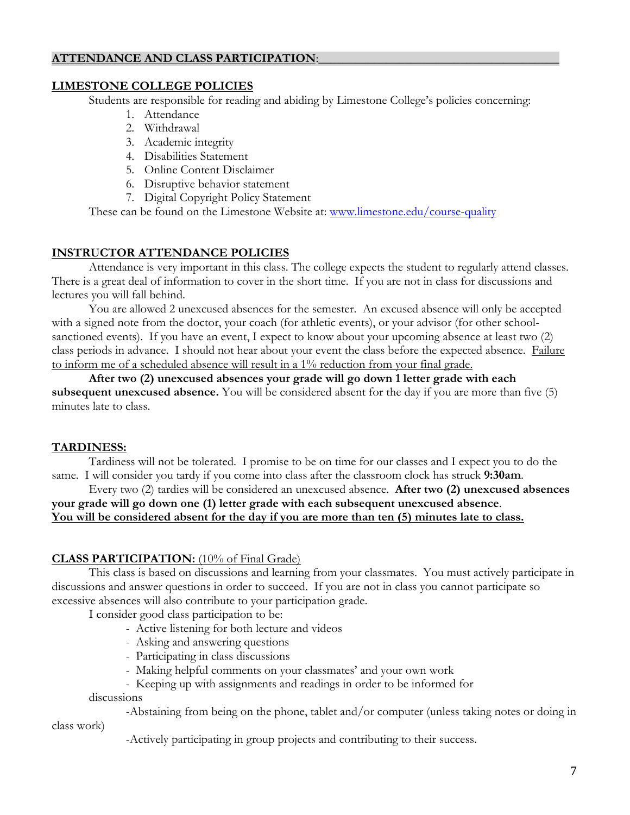# **ATTENDANCE AND CLASS PARTICIPATION:**

# **LIMESTONE COLLEGE POLICIES**

Students are responsible for reading and abiding by Limestone College's policies concerning:

- 1. Attendance
- 2. Withdrawal
- 3. Academic integrity
- 4. Disabilities Statement
- 5. Online Content Disclaimer
- 6. Disruptive behavior statement
- 7. Digital Copyright Policy Statement

These can be found on the Limestone Website at: www.limestone.edu/course-quality

# **INSTRUCTOR ATTENDANCE POLICIES**

Attendance is very important in this class. The college expects the student to regularly attend classes. There is a great deal of information to cover in the short time. If you are not in class for discussions and lectures you will fall behind.

You are allowed 2 unexcused absences for the semester. An excused absence will only be accepted with a signed note from the doctor, your coach (for athletic events), or your advisor (for other schoolsanctioned events). If you have an event, I expect to know about your upcoming absence at least two (2) class periods in advance. I should not hear about your event the class before the expected absence. Failure to inform me of a scheduled absence will result in a 1% reduction from your final grade.

**After two (2) unexcused absences your grade will go down 1 letter grade with each subsequent unexcused absence.** You will be considered absent for the day if you are more than five (5) minutes late to class.

# **TARDINESS:**

Tardiness will not be tolerated. I promise to be on time for our classes and I expect you to do the same. I will consider you tardy if you come into class after the classroom clock has struck **9:30am**.

## Every two (2) tardies will be considered an unexcused absence. **After two (2) unexcused absences your grade will go down one (1) letter grade with each subsequent unexcused absence**. **You will be considered absent for the day if you are more than ten (5) minutes late to class.**

# **CLASS PARTICIPATION:** (10% of Final Grade)

This class is based on discussions and learning from your classmates. You must actively participate in discussions and answer questions in order to succeed. If you are not in class you cannot participate so excessive absences will also contribute to your participation grade.

I consider good class participation to be:

- Active listening for both lecture and videos
- Asking and answering questions
- Participating in class discussions
- Making helpful comments on your classmates' and your own work
- Keeping up with assignments and readings in order to be informed for

## discussions

class work)

-Abstaining from being on the phone, tablet and/or computer (unless taking notes or doing in

-Actively participating in group projects and contributing to their success.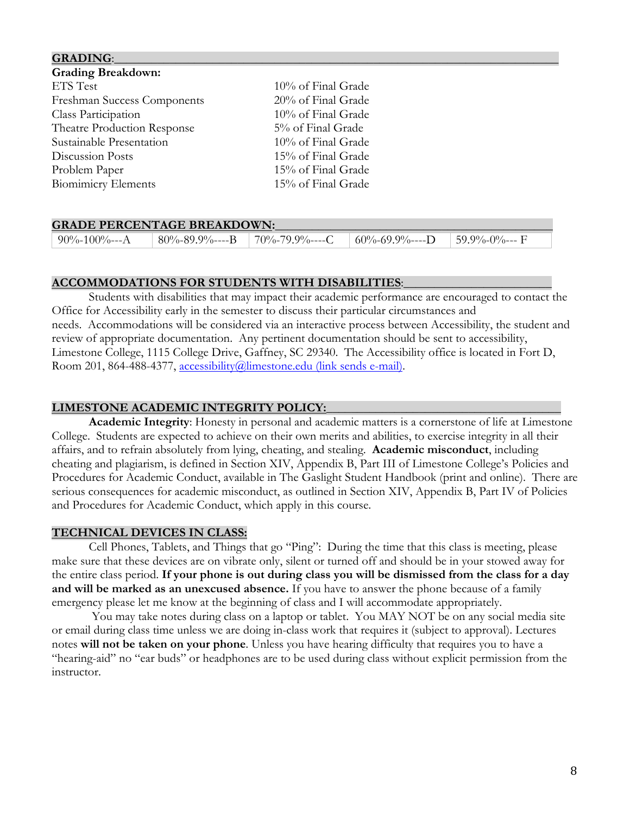| <b>GRADING:</b>             |                    |
|-----------------------------|--------------------|
| <b>Grading Breakdown:</b>   |                    |
| ETS Test                    | 10% of Final Grade |
| Freshman Success Components | 20% of Final Grade |
| Class Participation         | 10% of Final Grade |
| Theatre Production Response | 5% of Final Grade  |
| Sustainable Presentation    | 10% of Final Grade |
| Discussion Posts            | 15% of Final Grade |
| Problem Paper               | 15% of Final Grade |
| <b>Biomimicry Elements</b>  | 15% of Final Grade |

| <b>GRADE PERCENTAGE BREAKDOWN:</b> |                |                       |                         |                       |  |  |
|------------------------------------|----------------|-----------------------|-------------------------|-----------------------|--|--|
| $90\% - 100\% - - A$               | 80%-89.9%----B | $\mid$ 70%-79.9%----C | $60\% - 69.9\% - - -$ D | $\vert$ 59.9%-0%--- F |  |  |

## **ACCOMMODATIONS FOR STUDENTS WITH DISABILITIES**:\_\_\_\_\_\_\_\_\_\_\_\_\_\_\_\_\_\_\_\_\_\_\_\_

Students with disabilities that may impact their academic performance are encouraged to contact the Office for Accessibility early in the semester to discuss their particular circumstances and needs. Accommodations will be considered via an interactive process between Accessibility, the student and review of appropriate documentation. Any pertinent documentation should be sent to accessibility, Limestone College, 1115 College Drive, Gaffney, SC 29340. The Accessibility office is located in Fort D, Room 201, 864-488-4377, accessibility@limestone.edu (link sends e-mail).

# **LIMESTONE ACADEMIC INTEGRITY POLICY:**\_\_\_\_\_\_\_\_\_\_\_\_\_\_\_\_\_\_\_\_\_\_\_\_\_\_\_\_\_\_\_\_\_\_\_\_\_\_

**Academic Integrity**: Honesty in personal and academic matters is a cornerstone of life at Limestone College. Students are expected to achieve on their own merits and abilities, to exercise integrity in all their affairs, and to refrain absolutely from lying, cheating, and stealing. **Academic misconduct**, including cheating and plagiarism, is defined in Section XIV, Appendix B, Part III of Limestone College's Policies and Procedures for Academic Conduct, available in The Gaslight Student Handbook (print and online). There are serious consequences for academic misconduct, as outlined in Section XIV, Appendix B, Part IV of Policies and Procedures for Academic Conduct, which apply in this course.

## **TECHNICAL DEVICES IN CLASS:**

Cell Phones, Tablets, and Things that go "Ping": During the time that this class is meeting, please make sure that these devices are on vibrate only, silent or turned off and should be in your stowed away for the entire class period. **If your phone is out during class you will be dismissed from the class for a day and will be marked as an unexcused absence.** If you have to answer the phone because of a family emergency please let me know at the beginning of class and I will accommodate appropriately.

You may take notes during class on a laptop or tablet. You MAY NOT be on any social media site or email during class time unless we are doing in-class work that requires it (subject to approval). Lectures notes **will not be taken on your phone**. Unless you have hearing difficulty that requires you to have a "hearing-aid" no "ear buds" or headphones are to be used during class without explicit permission from the instructor.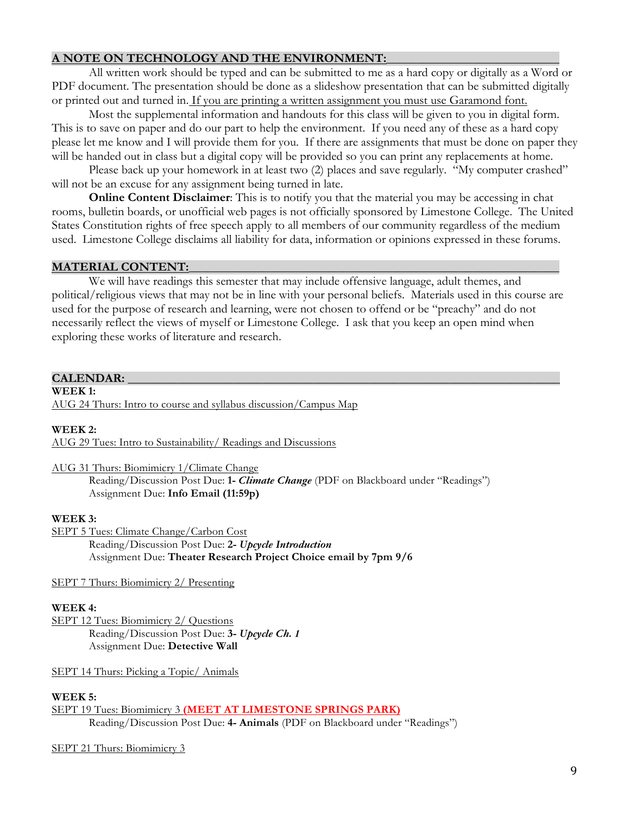# **A NOTE ON TECHNOLOGY AND THE ENVIRONMENT:**

All written work should be typed and can be submitted to me as a hard copy or digitally as a Word or PDF document. The presentation should be done as a slideshow presentation that can be submitted digitally or printed out and turned in. If you are printing a written assignment you must use Garamond font.

Most the supplemental information and handouts for this class will be given to you in digital form. This is to save on paper and do our part to help the environment. If you need any of these as a hard copy please let me know and I will provide them for you. If there are assignments that must be done on paper they will be handed out in class but a digital copy will be provided so you can print any replacements at home.

Please back up your homework in at least two (2) places and save regularly. "My computer crashed" will not be an excuse for any assignment being turned in late.

**Online Content Disclaimer**: This is to notify you that the material you may be accessing in chat rooms, bulletin boards, or unofficial web pages is not officially sponsored by Limestone College. The United States Constitution rights of free speech apply to all members of our community regardless of the medium used. Limestone College disclaims all liability for data, information or opinions expressed in these forums.

## **MATERIAL CONTENT:**

We will have readings this semester that may include offensive language, adult themes, and political/religious views that may not be in line with your personal beliefs. Materials used in this course are used for the purpose of research and learning, were not chosen to offend or be "preachy" and do not necessarily reflect the views of myself or Limestone College. I ask that you keep an open mind when exploring these works of literature and research.

#### **CALENDAR: \_\_\_\_\_\_\_\_\_\_\_\_\_\_\_\_\_\_\_\_\_\_\_\_\_\_\_\_\_\_\_\_\_\_\_\_\_\_\_\_\_\_\_\_\_\_\_\_\_\_\_\_\_\_\_\_\_\_\_\_\_\_\_\_\_\_\_\_\_\_**

#### **WEEK 1:**

AUG 24 Thurs: Intro to course and syllabus discussion/Campus Map

#### **WEEK 2:**

AUG 29 Tues: Intro to Sustainability/ Readings and Discussions

#### AUG 31 Thurs: Biomimicry 1/Climate Change

Reading/Discussion Post Due: **1-** *Climate Change* (PDF on Blackboard under "Readings") Assignment Due: **Info Email (11:59p)**

#### **WEEK 3:**

SEPT 5 Tues: Climate Change/Carbon Cost

Reading/Discussion Post Due: **2-** *Upcycle Introduction* Assignment Due: **Theater Research Project Choice email by 7pm 9/6**

SEPT 7 Thurs: Biomimicry 2/ Presenting

## **WEEK 4:**

SEPT 12 Tues: Biomimicry 2/ Questions Reading/Discussion Post Due: **3-** *Upcycle Ch. 1* Assignment Due: **Detective Wall**

SEPT 14 Thurs: Picking a Topic/ Animals

#### **WEEK 5:**

SEPT 19 Tues: Biomimicry 3 **(MEET AT LIMESTONE SPRINGS PARK)** Reading/Discussion Post Due: **4- Animals** (PDF on Blackboard under "Readings")

```
SEPT 21 Thurs: Biomimicry 3
```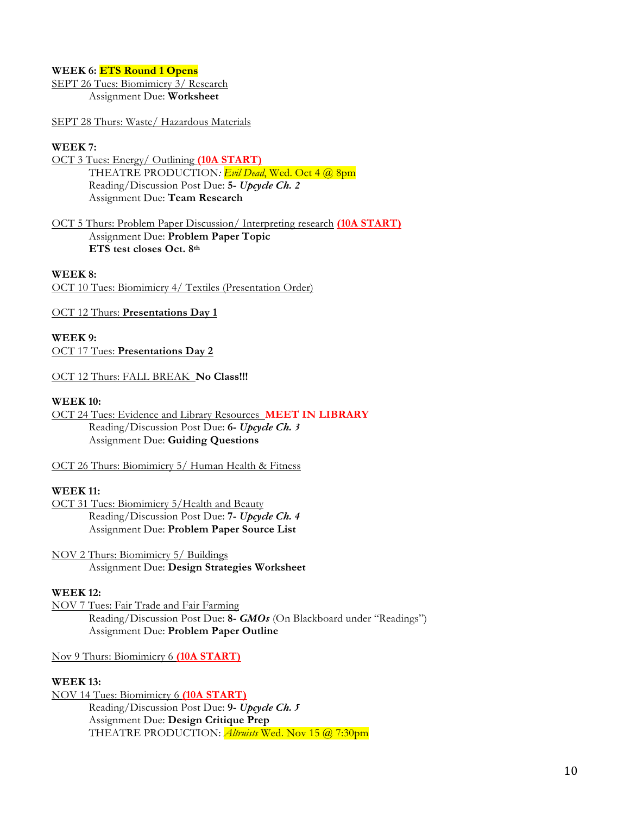#### **WEEK 6: ETS Round 1 Opens**

SEPT 26 Tues: Biomimicry 3/ Research Assignment Due: **Worksheet**

SEPT 28 Thurs: Waste/ Hazardous Materials

#### **WEEK 7:**

- OCT 3 Tues: Energy/ Outlining **(10A START)** THEATRE PRODUCTION*: Evil Dead*, Wed. Oct 4 @ 8pm Reading/Discussion Post Due: **5-** *Upcycle Ch. 2* Assignment Due: **Team Research**
- OCT 5 Thurs: Problem Paper Discussion/ Interpreting research **(10A START)** Assignment Due: **Problem Paper Topic ETS test closes Oct. 8th**

#### **WEEK 8:**

OCT 10 Tues: Biomimicry 4/ Textiles (Presentation Order)

OCT 12 Thurs: **Presentations Day 1**

**WEEK 9:**  OCT 17 Tues: **Presentations Day 2**

OCT 12 Thurs: FALL BREAK **No Class!!!**

#### **WEEK 10:**

OCT 24 Tues: Evidence and Library Resources **MEET IN LIBRARY** Reading/Discussion Post Due: **6-** *Upcycle Ch. 3* Assignment Due: **Guiding Questions**

OCT 26 Thurs: Biomimicry 5/ Human Health & Fitness

#### **WEEK 11:**

OCT 31 Tues: Biomimicry 5/Health and Beauty Reading/Discussion Post Due: **7-** *Upcycle Ch. 4* Assignment Due: **Problem Paper Source List**

NOV 2 Thurs: Biomimicry 5/ Buildings Assignment Due: **Design Strategies Worksheet**

#### **WEEK 12:**

NOV 7 Tues: Fair Trade and Fair Farming Reading/Discussion Post Due: **8-** *GMOs* (On Blackboard under "Readings") Assignment Due: **Problem Paper Outline**

Nov 9 Thurs: Biomimicry 6 **(10A START)**

#### **WEEK 13:**

NOV 14 Tues: Biomimicry 6 **(10A START)** Reading/Discussion Post Due: **9-** *Upcycle Ch. 5* Assignment Due: **Design Critique Prep** THEATRE PRODUCTION: *Altruists* Wed. Nov 15 @ 7:30pm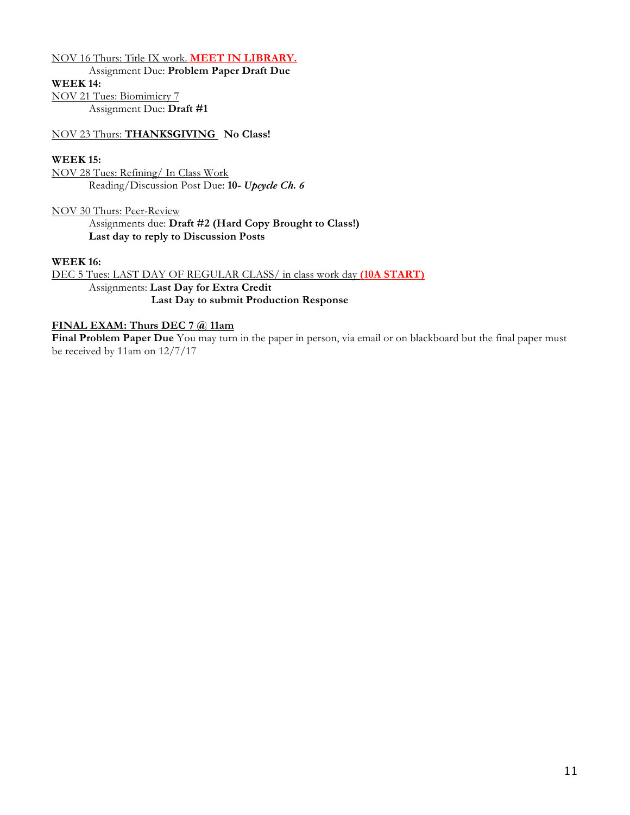#### NOV 16 Thurs: Title IX work. **MEET IN LIBRARY.**

Assignment Due: **Problem Paper Draft Due**

**WEEK 14:**

NOV 21 Tues: Biomimicry 7

Assignment Due: **Draft #1**

NOV 23 Thurs: **THANKSGIVING No Class!**

#### **WEEK 15:**

NOV 28 Tues: Refining/ In Class Work Reading/Discussion Post Due: **10-** *Upcycle Ch. 6*

NOV 30 Thurs: Peer-Review Assignments due: **Draft #2 (Hard Copy Brought to Class!) Last day to reply to Discussion Posts**

#### **WEEK 16:**

DEC 5 Tues: LAST DAY OF REGULAR CLASS/ in class work day **(10A START)** Assignments: **Last Day for Extra Credit Last Day to submit Production Response**

## **FINAL EXAM: Thurs DEC 7 @ 11am**

**Final Problem Paper Due** You may turn in the paper in person, via email or on blackboard but the final paper must be received by 11am on 12/7/17